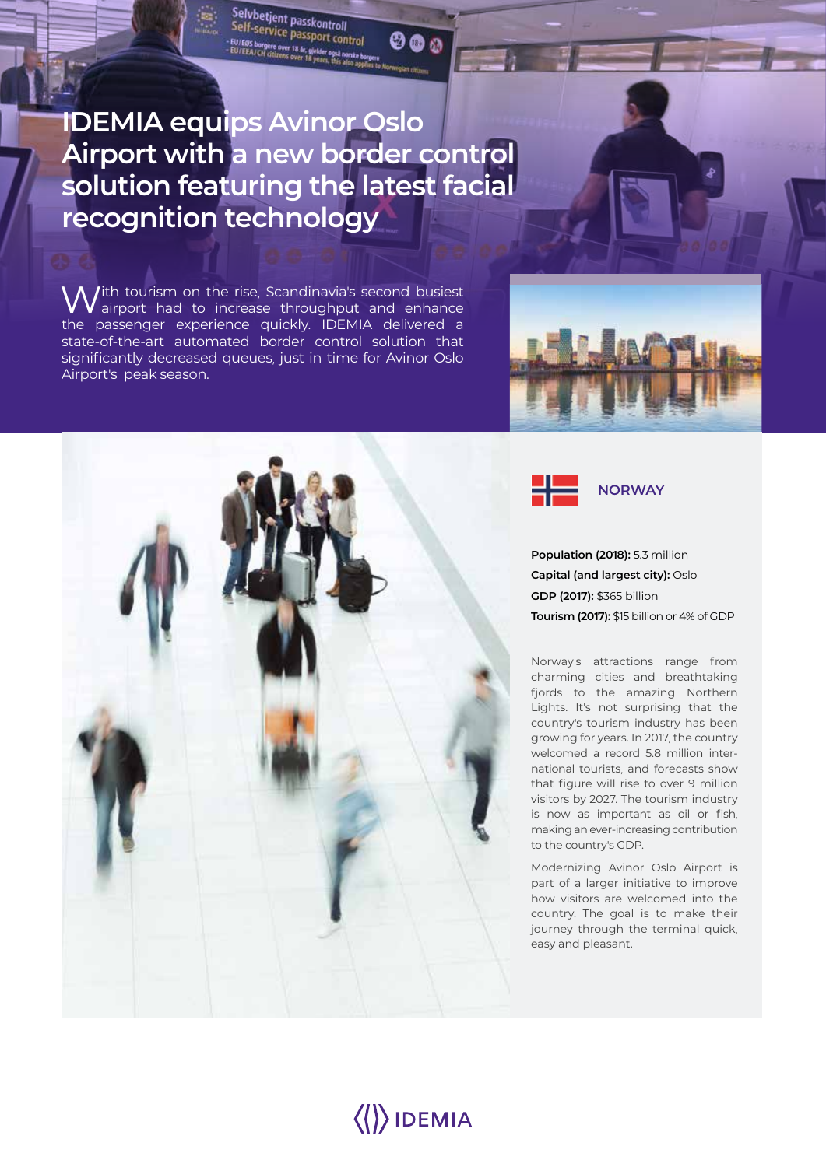## **IDEMIA equips Avinor Oslo Airport with a new border control solution featuring the latest facial recognition technology**

Selvbetjent passkontroll Self-service passkontroll<br>Elf-service passport control

tre over 13 & giel<br>ittiness come 1

 $000$ 

With tourism on the rise, Scandinavia's second busiest<br>Wairport had to increase throughput and enhance the passenger experience quickly. IDEMIA delivered a state-of-the-art automated border control solution that significantly decreased queues, just in time for Avinor Oslo Airport's peak season.







**Population (2018):** 5.3 million **Capital (and largest city):** Oslo **GDP (2017):** \$365 billion **Tourism (2017):** \$15 billion or 4% of GDP

Norway's attractions range from charming cities and breathtaking fjords to the amazing Northern Lights. It's not surprising that the country's tourism industry has been growing for years. In 2017, the country welcomed a record 5.8 million international tourists, and forecasts show that figure will rise to over 9 million visitors by 2027. The tourism industry is now as important as oil or fish, making an ever-increasing contribution to the country's GDP.

Modernizing Avinor Oslo Airport is part of a larger initiative to improve how visitors are welcomed into the country. The goal is to make their journey through the terminal quick, easy and pleasant.

# $\langle\langle\rangle\rangle$ IDEMIA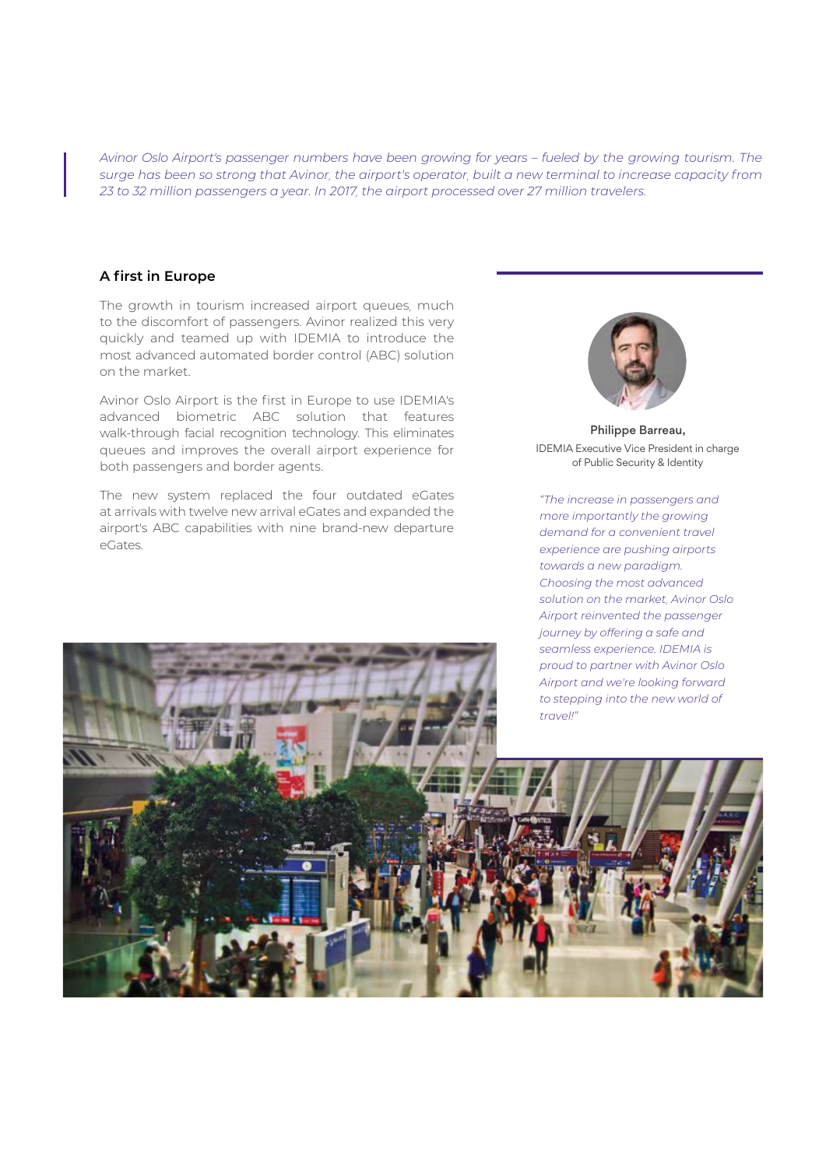*Avinor Oslo Airport's passenger numbers have been growing for years – fueled by the growing tourism. The surge has been so strong that Avinor, the airport's operator, built a new terminal to increase capacity from 23 to 32 million passengers a year. In 2017, the airport processed over 27 million travelers.*

#### **A first in Europe**

The growth in tourism increased airport queues, much to the discomfort of passengers. Avinor realized this very quickly and teamed up with IDEMIA to introduce the most advanced automated border control (ABC) solution on the market.

Avinor Oslo Airport is the first in Europe to use IDEMIA's advanced biometric ABC solution that features walk-through facial recognition technology. This eliminates queues and improves the overall airport experience for both passengers and border agents.

The new system replaced the four outdated eGates at arrivals with twelve new arrival eGates and expanded the airport's ABC capabilities with nine brand-new departure eGates.



Philippe Barreau, IDEMIA Executive Vice President in charge of Public Security & Identity

*"The increase in passengers and more importantly the growing demand for a convenient travel experience are pushing airports towards a new paradigm. Choosing the most advanced solution on the market, Avinor Oslo Airport reinvented the passenger journey by offering a safe and seamless experience. IDEMIA is proud to partner with Avinor Oslo* 

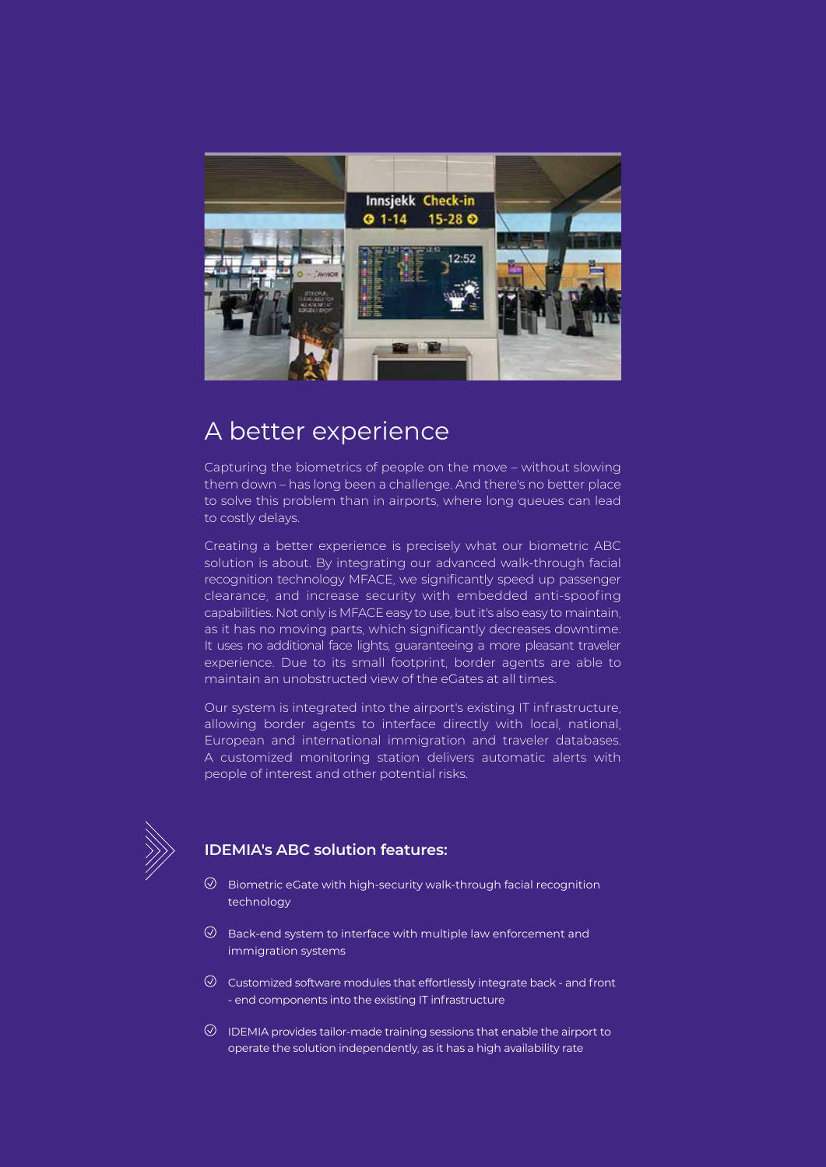

## A better experience

Capturing the biometrics of people on the move – without slowing them down – has long been a challenge. And there's no better place to solve this problem than in airports, where long queues can lead to costly delays.

Creating a better experience is precisely what our biometric ABC solution is about. By integrating our advanced walk-through facial recognition technology MFACE, we significantly speed up passenger clearance, and increase security with embedded anti-spoofing capabilities. Not only is MFACE easy to use, but it's also easy to maintain, as it has no moving parts, which significantly decreases downtime. It uses no additional face lights, guaranteeing a more pleasant traveler experience. Due to its small footprint, border agents are able to maintain an unobstructed view of the eGates at all times.

Our system is integrated into the airport's existing IT infrastructure, allowing border agents to interface directly with local, national, European and international immigration and traveler databases. A customized monitoring station delivers automatic alerts with people of interest and other potential risks.



#### **IDEMIA's ABC solution features:**

- $\oslash$  Biometric eGate with high-security walk-through facial recognition technology
- $\oslash$  Back-end system to interface with multiple law enforcement and immigration systems
- $\odot$  Customized software modules that effortlessly integrate back and front - end components into the existing IT infrastructure
- $\overline{\odot}$  IDEMIA provides tailor-made training sessions that enable the airport to operate the solution independently, as it has a high availability rate